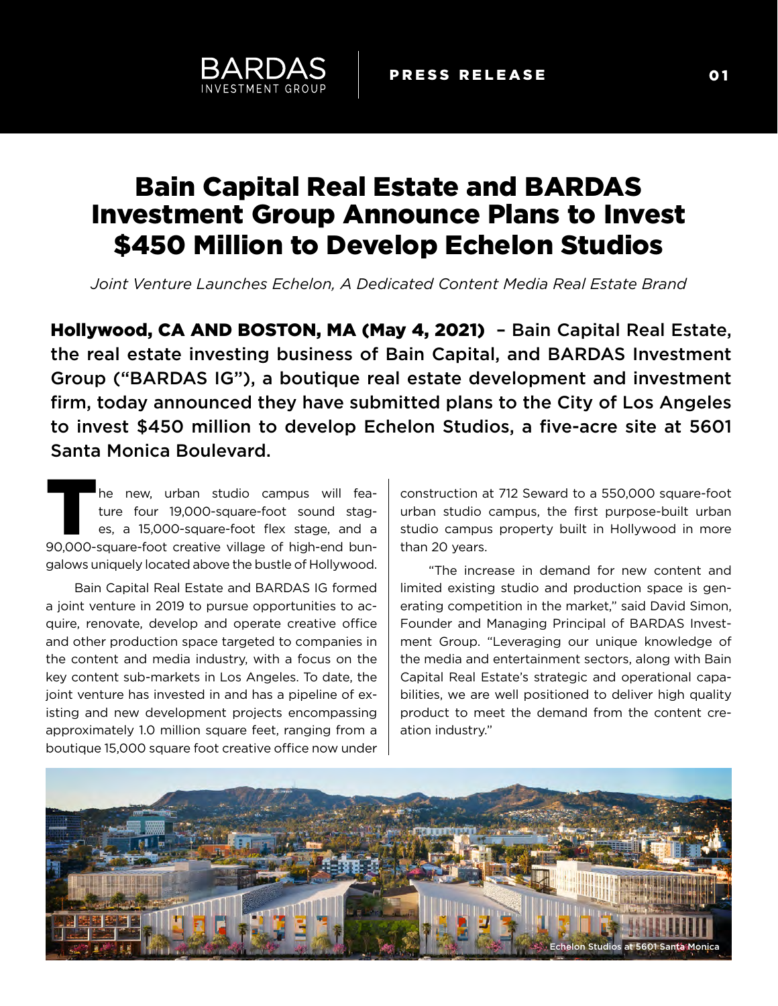# Bain Capital Real Estate and BARDAS Investment Group Announce Plans to Invest \$450 Million to Develop Echelon Studios

*Joint Venture Launches Echelon, A Dedicated Content Media Real Estate Brand*

Hollywood, CA AND BOSTON, MA (May 4, 2021) – Bain Capital Real Estate, the real estate investing business of Bain Capital, and BARDAS Investment Group ("BARDAS IG"), a boutique real estate development and investment firm, today announced they have submitted plans to the City of Los Angeles to invest \$450 million to develop Echelon Studios, a five-acre site at 5601 Santa Monica Boulevard.

he new, urban studio campus will feature four 19,000-square-foot sound stages, a 15,000-square-foot flex stage, and a The new, urban studio campus will fea-<br>ture four 19,000-square-foot sound stag-<br>es, a 15,000-square-foot flex stage, and a<br>90,000-square-foot creative village of high-end bungalows uniquely located above the bustle of Hollywood.

Bain Capital Real Estate and BARDAS IG formed a joint venture in 2019 to pursue opportunities to acquire, renovate, develop and operate creative office and other production space targeted to companies in the content and media industry, with a focus on the key content sub-markets in Los Angeles. To date, the joint venture has invested in and has a pipeline of existing and new development projects encompassing approximately 1.0 million square feet, ranging from a boutique 15,000 square foot creative office now under

construction at 712 Seward to a 550,000 square-foot urban studio campus, the first purpose-built urban studio campus property built in Hollywood in more than 20 years.

"The increase in demand for new content and limited existing studio and production space is generating competition in the market," said David Simon, Founder and Managing Principal of BARDAS Investment Group. "Leveraging our unique knowledge of the media and entertainment sectors, along with Bain Capital Real Estate's strategic and operational capabilities, we are well positioned to deliver high quality product to meet the demand from the content creation industry."

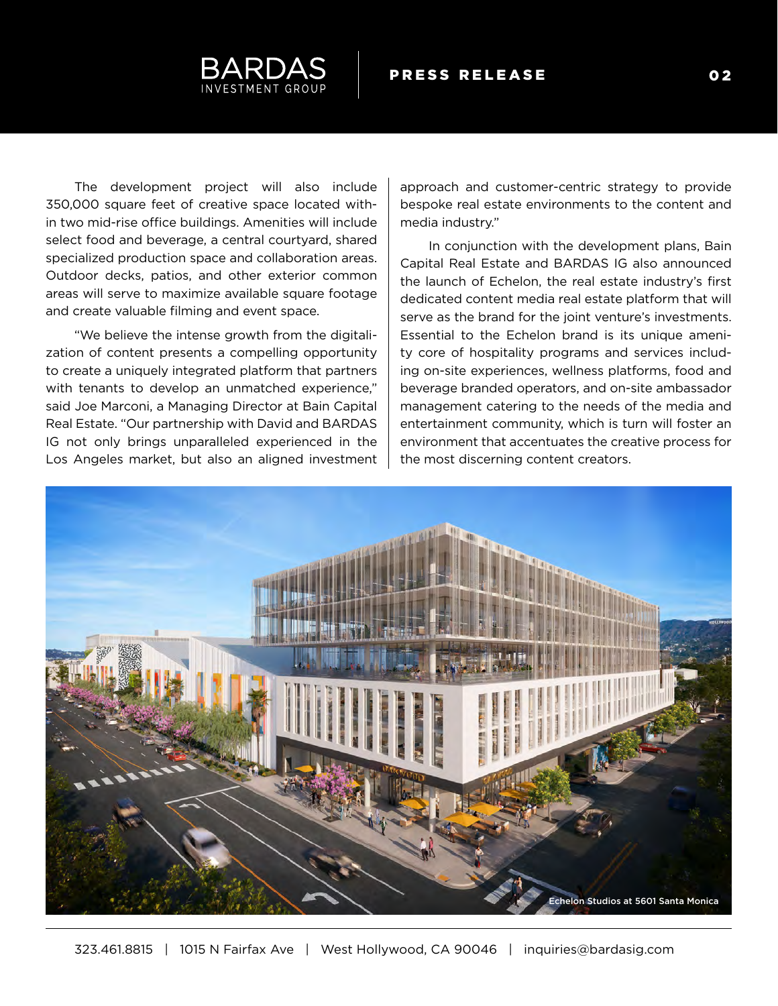

The development project will also include 350,000 square feet of creative space located within two mid-rise office buildings. Amenities will include select food and beverage, a central courtyard, shared specialized production space and collaboration areas. Outdoor decks, patios, and other exterior common areas will serve to maximize available square footage and create valuable filming and event space.

"We believe the intense growth from the digitalization of content presents a compelling opportunity to create a uniquely integrated platform that partners with tenants to develop an unmatched experience," said Joe Marconi, a Managing Director at Bain Capital Real Estate. "Our partnership with David and BARDAS IG not only brings unparalleled experienced in the Los Angeles market, but also an aligned investment

approach and customer-centric strategy to provide bespoke real estate environments to the content and media industry."

In conjunction with the development plans, Bain Capital Real Estate and BARDAS IG also announced the launch of Echelon, the real estate industry's first dedicated content media real estate platform that will serve as the brand for the joint venture's investments. Essential to the Echelon brand is its unique amenity core of hospitality programs and services including on-site experiences, wellness platforms, food and beverage branded operators, and on-site ambassador management catering to the needs of the media and entertainment community, which is turn will foster an environment that accentuates the creative process for the most discerning content creators.